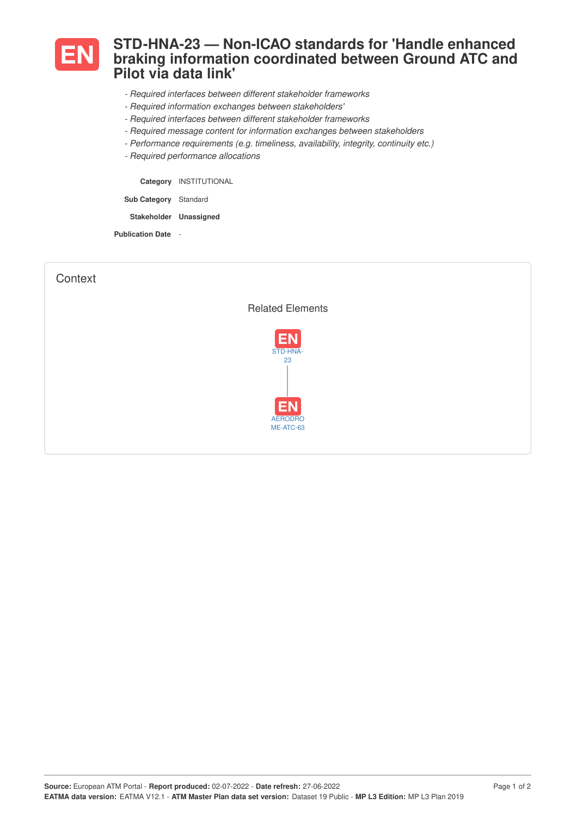

## **STD-HNA-23 — Non-ICAO standards for 'Handle enhanced braking information coordinated between Ground ATC and Pilot via data link'**

- *- Required interfaces between different stakeholder frameworks*
- *- Required information exchanges between stakeholders'*
- *- Required interfaces between different stakeholder frameworks*
- *- Required message content for information exchanges between stakeholders*
- *- Performance requirements (e.g. timeliness, availability, integrity, continuity etc.)*
- *- Required performance allocations*

**Category** INSTITUTIONAL

**Sub Category** Standard

**Stakeholder Unassigned**

**Publication Date** -